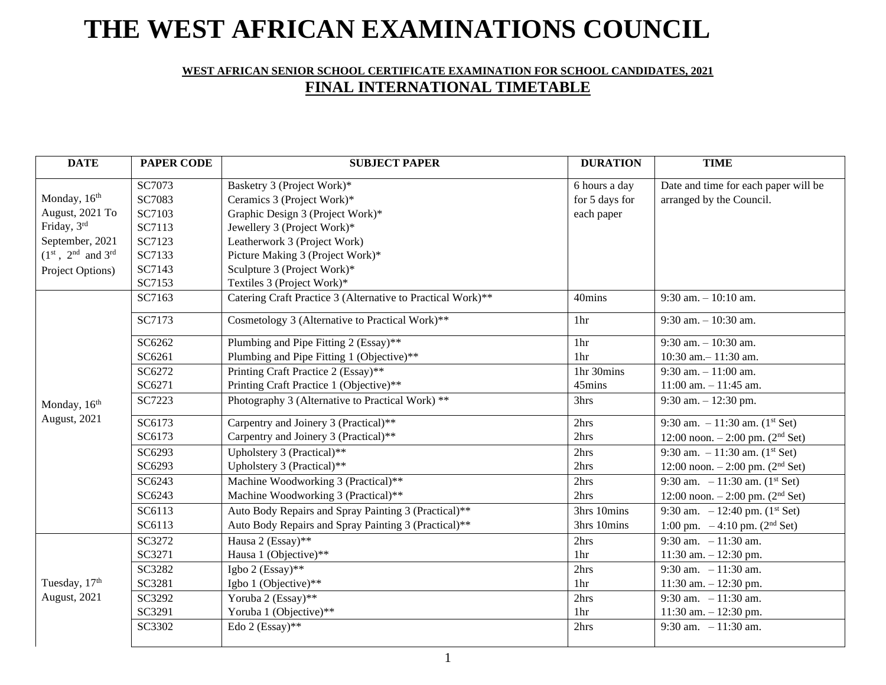# **THE WEST AFRICAN EXAMINATIONS COUNCIL**

# **WEST AFRICAN SENIOR SCHOOL CERTIFICATE EXAMINATION FOR SCHOOL CANDIDATES, 2021 FINAL INTERNATIONAL TIMETABLE**

| <b>DATE</b>                    | <b>PAPER CODE</b> | <b>SUBJECT PAPER</b>                                        | <b>DURATION</b> | <b>TIME</b>                                    |
|--------------------------------|-------------------|-------------------------------------------------------------|-----------------|------------------------------------------------|
|                                | SC7073            | Basketry 3 (Project Work)*                                  | 6 hours a day   | Date and time for each paper will be           |
| Monday, 16 <sup>th</sup>       | SC7083            | Ceramics 3 (Project Work)*                                  | for 5 days for  | arranged by the Council.                       |
| August, 2021 To                | SC7103            | Graphic Design 3 (Project Work)*                            | each paper      |                                                |
| Friday, 3rd                    | SC7113            | Jewellery 3 (Project Work)*                                 |                 |                                                |
| September, 2021                | SC7123            | Leatherwork 3 (Project Work)                                |                 |                                                |
| $(1^{st}, 2^{nd}$ and $3^{rd}$ | SC7133            | Picture Making 3 (Project Work)*                            |                 |                                                |
| Project Options)               | SC7143            | Sculpture 3 (Project Work)*                                 |                 |                                                |
|                                | SC7153            | Textiles 3 (Project Work)*                                  |                 |                                                |
|                                | SC7163            | Catering Craft Practice 3 (Alternative to Practical Work)** | 40mins          | $9:30$ am. $-10:10$ am.                        |
|                                | SC7173            | Cosmetology 3 (Alternative to Practical Work)**             | 1 <sub>hr</sub> | $9:30$ am. $-10:30$ am.                        |
|                                | SC6262            | Plumbing and Pipe Fitting 2 (Essay)**                       | 1hr             | $9:30$ am. $-10:30$ am.                        |
|                                | SC6261            | Plumbing and Pipe Fitting 1 (Objective)**                   | 1 <sup>hr</sup> | 10:30 am. $-11:30$ am.                         |
|                                | SC6272            | Printing Craft Practice 2 (Essay)**                         | 1hr 30mins      | $9:30$ am. $-11:00$ am.                        |
|                                | SC6271            | Printing Craft Practice 1 (Objective)**                     | 45mins          | $11:00$ am. $-11:45$ am.                       |
| Monday, 16 <sup>th</sup>       | SC7223            | Photography 3 (Alternative to Practical Work) **            | 3hrs            | 9:30 am. $- 12:30$ pm.                         |
| <b>August</b> , 2021           | SC6173            | Carpentry and Joinery 3 (Practical)**                       | 2hrs            | 9:30 am. $-11:30$ am. (1 <sup>st</sup> Set)    |
|                                | SC6173            | Carpentry and Joinery 3 (Practical)**                       | 2hrs            | 12:00 noon. $- 2:00$ pm. (2 <sup>nd</sup> Set) |
|                                | SC6293            | Upholstery 3 (Practical)**                                  | 2hrs            | 9:30 am. $-11:30$ am. $(1^{st}$ Set)           |
|                                | SC6293            | Upholstery 3 (Practical)**                                  | 2hrs            | 12:00 noon. $-2:00$ pm. (2 <sup>nd</sup> Set)  |
|                                | SC6243            | Machine Woodworking 3 (Practical)**                         | 2hrs            | 9:30 am. $-11:30$ am. (1 <sup>st</sup> Set)    |
|                                | SC6243            | Machine Woodworking 3 (Practical)**                         | 2hrs            | 12:00 noon. $-2:00$ pm. (2 <sup>nd</sup> Set)  |
|                                | SC6113            | Auto Body Repairs and Spray Painting 3 (Practical)**        | 3hrs 10mins     | 9:30 am. $-12:40$ pm. (1 <sup>st</sup> Set)    |
|                                | SC6113            | Auto Body Repairs and Spray Painting 3 (Practical)**        | 3hrs 10mins     | 1:00 pm. $-4:10$ pm. (2 <sup>nd</sup> Set)     |
|                                | SC3272            | Hausa 2 (Essay)**                                           | 2hrs            | 9:30 am. $-11:30$ am.                          |
|                                | SC3271            | Hausa 1 (Objective)**                                       | 1 <sub>hr</sub> | 11:30 am. $- 12:30$ pm.                        |
|                                | SC3282            | Igbo 2 (Essay)**                                            | 2hrs            | 9:30 am. $-11:30$ am.                          |
| Tuesday, 17th                  | SC3281            | Igbo 1 (Objective)**                                        | 1hr             | 11:30 am. $- 12:30$ pm.                        |
| August, 2021                   | SC3292            | Yoruba 2 (Essay)**                                          | 2hrs            | 9:30 am. $-11:30$ am.                          |
|                                | SC3291            | Yoruba 1 (Objective)**                                      | 1 <sub>hr</sub> | 11:30 am. $- 12:30$ pm.                        |
|                                | SC3302            | Edo 2 (Essay)**                                             | 2hrs            | 9:30 am. $-11:30$ am.                          |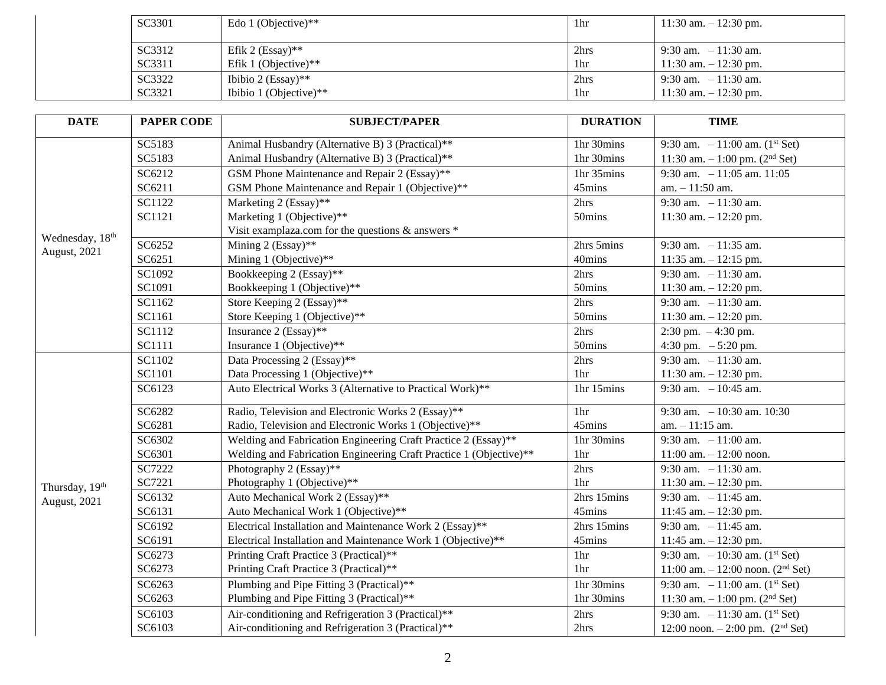| SC3301 | Edo 1 (Objective)**    | 1hr             | 11:30 am. $- 12:30$ pm.  |
|--------|------------------------|-----------------|--------------------------|
| SC3312 | Efik 2 $(Essay)**$     | 2hrs            | 9:30 am. $-11:30$ am.    |
| SC3311 | Efik 1 (Objective)**   | 1 <sub>hr</sub> | $11:30$ am. $-12:30$ pm. |
| SC3322 | Ibibio 2 (Essay)**     | 2hrs            | 9:30 am. $-11:30$ am.    |
| SC3321 | Ibibio 1 (Objective)** | 1hr             | $11:30$ am. $-12:30$ pm. |

| <b>DATE</b>                     | <b>PAPER CODE</b> | <b>SUBJECT/PAPER</b>                                               | <b>DURATION</b> | <b>TIME</b>                                     |
|---------------------------------|-------------------|--------------------------------------------------------------------|-----------------|-------------------------------------------------|
| Wednesday, 18th<br>August, 2021 | SC5183            | Animal Husbandry (Alternative B) 3 (Practical)**                   | 1hr 30mins      | 9:30 am. $-11:00$ am. (1 <sup>st</sup> Set)     |
|                                 | SC5183            | Animal Husbandry (Alternative B) 3 (Practical)**                   | 1hr 30mins      | 11:30 am. $-1:00$ pm. (2 <sup>nd</sup> Set)     |
|                                 | SC6212            | GSM Phone Maintenance and Repair 2 (Essay)**                       | 1hr 35mins      | 9:30 am. $-11:05$ am. 11:05                     |
|                                 | SC6211            | GSM Phone Maintenance and Repair 1 (Objective)**                   | 45mins          | $am. - 11:50$ am.                               |
|                                 | SC1122            | Marketing 2 (Essay)**                                              | 2hrs            | 9:30 am. $-11:30$ am.                           |
|                                 | SC1121            | Marketing 1 (Objective)**                                          | 50mins          | 11:30 am. $- 12:20$ pm.                         |
|                                 |                   | Visit examplaza.com for the questions & answers *                  |                 |                                                 |
|                                 | SC6252            | Mining 2 (Essay)**                                                 | 2hrs 5mins      | 9:30 am. $-11:35$ am.                           |
|                                 | SC6251            | Mining 1 (Objective)**                                             | 40mins          | 11:35 am. $- 12:15$ pm.                         |
|                                 | SC1092            | Bookkeeping 2 (Essay)**                                            | 2hrs            | 9:30 am. $-11:30$ am.                           |
|                                 | SC1091            | Bookkeeping 1 (Objective)**                                        | 50mins          | 11:30 am. $- 12:20$ pm.                         |
|                                 | SC1162            | Store Keeping 2 (Essay)**                                          | 2hrs            | 9:30 am. $-11:30$ am.                           |
|                                 | SC1161            | Store Keeping 1 (Objective)**                                      | 50mins          | 11:30 am. $- 12:20$ pm.                         |
|                                 | SC1112            | Insurance 2 (Essay)**                                              | 2hrs            | $2:30 \text{ pm.} - 4:30 \text{ pm.}$           |
|                                 | <b>SC1111</b>     | Insurance 1 (Objective)**                                          | 50mins          | 4:30 pm. $-5:20$ pm.                            |
|                                 | SC1102            | Data Processing 2 (Essay)**                                        | 2hrs            | 9:30 am. $-11:30$ am.                           |
|                                 | SC1101            | Data Processing 1 (Objective)**                                    | 1 <sup>hr</sup> | 11:30 am. $- 12:30$ pm.                         |
|                                 | SC6123            | Auto Electrical Works 3 (Alternative to Practical Work)**          | 1hr 15mins      | 9:30 am. $-10:45$ am.                           |
|                                 | SC6282            | Radio, Television and Electronic Works 2 (Essay)**                 | 1 <sub>hr</sub> | 9:30 am. $-10:30$ am. 10:30                     |
|                                 | SC6281            | Radio, Television and Electronic Works 1 (Objective)**             | 45mins          | $am. - 11:15$ am.                               |
|                                 | SC6302            | Welding and Fabrication Engineering Craft Practice 2 (Essay)**     | 1hr 30mins      | 9:30 am. $-11:00$ am.                           |
|                                 | SC6301            | Welding and Fabrication Engineering Craft Practice 1 (Objective)** | 1hr             | $11:00$ am. $-12:00$ noon.                      |
|                                 | SC7222            | Photography 2 (Essay)**                                            | 2hrs            | 9:30 am. $-11:30$ am.                           |
| Thursday, 19th                  | SC7221            | Photography 1 (Objective)**                                        | 1hr             | 11:30 am. $- 12:30$ pm.                         |
| August, 2021                    | SC6132            | Auto Mechanical Work 2 (Essay)**                                   | 2hrs 15mins     | 9:30 am. $-11:45$ am.                           |
|                                 | SC6131            | Auto Mechanical Work 1 (Objective)**                               | 45mins          | 11:45 am. $- 12:30$ pm.                         |
|                                 | SC6192            | Electrical Installation and Maintenance Work 2 (Essay)**           | 2hrs 15mins     | 9:30 am. $-11:45$ am.                           |
|                                 | SC6191            | Electrical Installation and Maintenance Work 1 (Objective)**       | 45mins          | 11:45 am. - 12:30 pm.                           |
|                                 | SC6273            | Printing Craft Practice 3 (Practical)**                            | 1hr             | 9:30 am. $-10:30$ am. (1 <sup>st</sup> Set)     |
|                                 | SC6273            | Printing Craft Practice 3 (Practical)**                            | 1hr             | 11:00 am. $- 12:00$ noon. (2 <sup>nd</sup> Set) |
|                                 | SC6263            | Plumbing and Pipe Fitting 3 (Practical)**                          | 1hr 30mins      | 9:30 am. $-11:00$ am. (1 <sup>st</sup> Set)     |
|                                 | SC6263            | Plumbing and Pipe Fitting 3 (Practical)**                          | 1hr 30mins      | 11:30 am. $-1:00$ pm. (2 <sup>nd</sup> Set)     |
|                                 | SC6103            | Air-conditioning and Refrigeration 3 (Practical)**                 | 2hrs            | 9:30 am. $-11:30$ am. (1 <sup>st</sup> Set)     |
|                                 | SC6103            | Air-conditioning and Refrigeration 3 (Practical)**                 | 2hrs            | 12:00 noon. $- 2:00$ pm. (2 <sup>nd</sup> Set)  |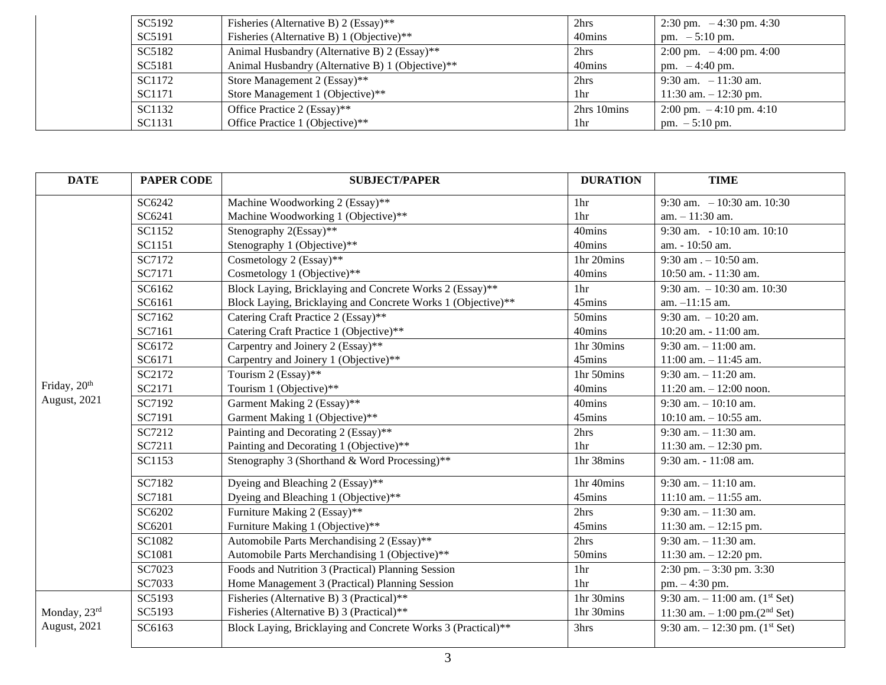| SC5192 | Fisheries (Alternative B) 2 (Essay)**            | 2hrs        | 2:30 pm. $-4:30$ pm. 4:30 |
|--------|--------------------------------------------------|-------------|---------------------------|
| SC5191 | Fisheries (Alternative B) 1 (Objective)**        | 40mins      | pm. $-5:10$ pm.           |
| SC5182 | Animal Husbandry (Alternative B) 2 (Essay)**     | 2hrs        | 2:00 pm. $-4:00$ pm. 4:00 |
| SC5181 | Animal Husbandry (Alternative B) 1 (Objective)** | 40mins      | pm. $-4:40$ pm.           |
| SC1172 | Store Management 2 (Essay)**                     | 2hrs        | $9:30$ am. $-11:30$ am.   |
| SC1171 | Store Management 1 (Objective)**                 | 1hr         | 11:30 am. $- 12:30$ pm.   |
| SC1132 | Office Practice 2 (Essay)**                      | 2hrs 10mins | 2:00 pm. $-4:10$ pm. 4:10 |
| SC1131 | Office Practice 1 (Objective)**                  | 1hr         | pm. $-5:10$ pm.           |

| <b>DATE</b>  | <b>PAPER CODE</b> | <b>SUBJECT/PAPER</b>                                         | <b>DURATION</b> | <b>TIME</b>                                |
|--------------|-------------------|--------------------------------------------------------------|-----------------|--------------------------------------------|
|              | SC6242            | Machine Woodworking 2 (Essay)**                              | 1 <sub>hr</sub> | 9:30 am. $-10:30$ am. 10:30                |
|              | SC6241            | Machine Woodworking 1 (Objective)**                          | 1hr             | $am. - 11:30$ am.                          |
|              | SC1152            | Stenography 2(Essay)**                                       | 40mins          | 9:30 am. $-10:10$ am. $10:10$              |
|              | SC1151            | Stenography 1 (Objective)**                                  | 40mins          | am. - 10:50 am.                            |
|              | SC7172            | Cosmetology 2 (Essay)**                                      | 1hr 20mins      | 9:30 am $. -10:50$ am.                     |
|              | SC7171            | Cosmetology 1 (Objective)**                                  | 40mins          | 10:50 am. - 11:30 am.                      |
|              | SC6162            | Block Laying, Bricklaying and Concrete Works 2 (Essay)**     | 1 <sub>hr</sub> | 9:30 am. $-10:30$ am. 10:30                |
|              | SC6161            | Block Laying, Bricklaying and Concrete Works 1 (Objective)** | 45mins          | am. $-11:15$ am.                           |
|              | SC7162            | Catering Craft Practice 2 (Essay)**                          | 50mins          | 9:30 am. $-10:20$ am.                      |
|              | SC7161            | Catering Craft Practice 1 (Objective)**                      | 40mins          | $10:20$ am. $-11:00$ am.                   |
|              | SC6172            | Carpentry and Joinery 2 (Essay)**                            | 1hr 30mins      | $9:30$ am. $-11:00$ am.                    |
|              | SC6171            | Carpentry and Joinery 1 (Objective)**                        | 45mins          | $11:00$ am. $-11:45$ am.                   |
|              | SC2172            | Tourism 2 (Essay)**                                          | 1hr 50mins      | $9:30$ am. $-11:20$ am.                    |
| Friday, 20th | SC2171            | Tourism 1 (Objective)**                                      | 40mins          | $11:20$ am. $-12:00$ noon.                 |
| August, 2021 | SC7192            | Garment Making 2 (Essay)**                                   | 40mins          | $9:30$ am. $-10:10$ am.                    |
|              | SC7191            | Garment Making 1 (Objective)**                               | 45mins          | 10:10 am. $-10:55$ am.                     |
|              | SC7212            | Painting and Decorating 2 (Essay)**                          | 2hrs            | $9:30$ am. $-11:30$ am.                    |
|              | SC7211            | Painting and Decorating 1 (Objective)**                      | 1hr             | 11:30 am. $- 12:30$ pm.                    |
|              | SC1153            | Stenography 3 (Shorthand & Word Processing)**                | 1hr 38mins      | $9:30$ am. $-11:08$ am.                    |
|              | SC7182            | Dyeing and Bleaching 2 (Essay)**                             | 1hr 40mins      | $9:30$ am. $-11:10$ am.                    |
|              | SC7181            | Dyeing and Bleaching 1 (Objective)**                         | 45mins          | $11:10$ am. $-11:55$ am.                   |
|              | SC6202            | Furniture Making 2 (Essay)**                                 | 2hrs            | $9:30$ am. $-11:30$ am.                    |
|              | SC6201            | Furniture Making 1 (Objective)**                             | 45mins          | 11:30 am. $- 12:15$ pm.                    |
|              | SC1082            | Automobile Parts Merchandising 2 (Essay)**                   | 2hrs            | $9:30$ am. $-11:30$ am.                    |
|              | SC1081            | Automobile Parts Merchandising 1 (Objective)**               | 50mins          | 11:30 am. $- 12:20$ pm.                    |
|              | SC7023            | Foods and Nutrition 3 (Practical) Planning Session           | 1hr             | $2:30$ pm. $-3:30$ pm. 3:30                |
|              | SC7033            | Home Management 3 (Practical) Planning Session               | 1 <sub>hr</sub> | pm. - 4:30 pm.                             |
|              | SC5193            | Fisheries (Alternative B) 3 (Practical)**                    | 1hr 30mins      | 9:30 am. $-11:00$ am. $(1^{st}$ Set)       |
| Monday, 23rd | SC5193            | Fisheries (Alternative B) 3 (Practical)**                    | 1hr 30mins      | 11:30 am. $-1:00$ pm.(2 <sup>nd</sup> Set) |
| August, 2021 | SC6163            | Block Laying, Bricklaying and Concrete Works 3 (Practical)** | 3hrs            | 9:30 am. $-12:30$ pm. $(1st Set)$          |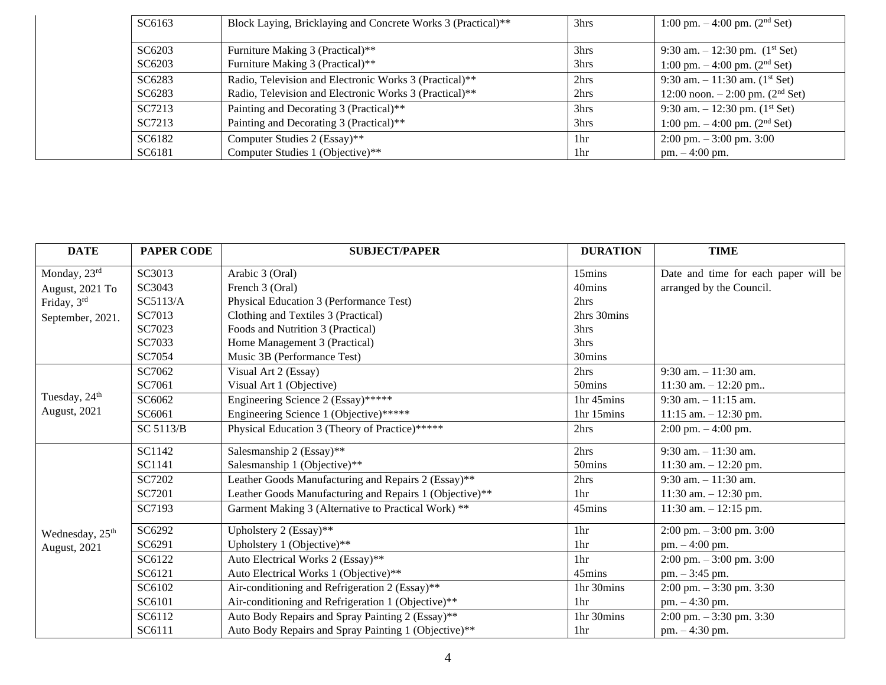| SC6163 | Block Laying, Bricklaying and Concrete Works 3 (Practical)** | 3hrs            | 1:00 pm. $-4:00$ pm. $(2nd Set)$              |
|--------|--------------------------------------------------------------|-----------------|-----------------------------------------------|
| SC6203 | Furniture Making 3 (Practical)**                             | 3hrs            | 9:30 am. $-12:30$ pm. $(1st Set)$             |
| SC6203 | Furniture Making 3 (Practical)**                             | 3hrs            | 1:00 pm. $-4:00$ pm. $(2nd Set)$              |
| SC6283 | Radio, Television and Electronic Works 3 (Practical)**       | 2hrs            | 9:30 am. $-11:30$ am. $(1st Set)$             |
| SC6283 | Radio, Television and Electronic Works 3 (Practical)**       | 2hrs            | 12:00 noon. $-2:00$ pm. (2 <sup>nd</sup> Set) |
| SC7213 | Painting and Decorating 3 (Practical)**                      | 3hrs            | 9:30 am. $-12:30$ pm. (1 <sup>st</sup> Set)   |
| SC7213 | Painting and Decorating 3 (Practical)**                      | 3hrs            | 1:00 pm. $-4:00$ pm. $(2nd Set)$              |
| SC6182 | Computer Studies 2 (Essay)**                                 | 1 <sub>hr</sub> | $2:00 \text{ pm} - 3:00 \text{ pm}$ . 3:00    |
| SC6181 | Computer Studies 1 (Objective)**                             | 1 <sup>hr</sup> | $pm. - 4:00$ pm.                              |

| <b>DATE</b>                 | <b>PAPER CODE</b> | <b>SUBJECT/PAPER</b>                                    | <b>DURATION</b> | <b>TIME</b>                                |
|-----------------------------|-------------------|---------------------------------------------------------|-----------------|--------------------------------------------|
| Monday, 23rd                | SC3013            | Arabic 3 (Oral)                                         | 15mins          | Date and time for each paper will be       |
| August, 2021 To             | SC3043            | French 3 (Oral)                                         | 40mins          | arranged by the Council.                   |
| Friday, 3rd                 | SC5113/A          | Physical Education 3 (Performance Test)                 | 2hrs            |                                            |
| September, 2021.            | SC7013            | Clothing and Textiles 3 (Practical)                     | 2hrs 30mins     |                                            |
|                             | SC7023            | Foods and Nutrition 3 (Practical)                       | 3hrs            |                                            |
|                             | SC7033            | Home Management 3 (Practical)                           | 3hrs            |                                            |
|                             | SC7054            | Music 3B (Performance Test)                             | 30mins          |                                            |
|                             | SC7062            | Visual Art 2 (Essay)                                    | 2hrs            | $9:30$ am. $-11:30$ am.                    |
|                             | SC7061            | Visual Art 1 (Objective)                                | 50mins          | 11:30 am. $- 12:20$ pm                     |
| Tuesday, 24 <sup>th</sup>   | SC6062            | Engineering Science 2 (Essay)*****                      | 1hr 45mins      | $9:30$ am. $-11:15$ am.                    |
| August, 2021                | SC6061            | Engineering Science 1 (Objective)*****                  | 1hr 15mins      | $11:15$ am. $-12:30$ pm.                   |
|                             | SC 5113/B         | Physical Education 3 (Theory of Practice)*****          | 2hrs            | $2:00 \text{ pm} - 4:00 \text{ pm}.$       |
|                             | SC1142            | Salesmanship 2 (Essay)**                                | 2hrs            | $9:30$ am. $-11:30$ am.                    |
|                             | SC1141            | Salesmanship 1 (Objective)**                            | 50mins          | 11:30 am. $- 12:20$ pm.                    |
|                             | SC7202            | Leather Goods Manufacturing and Repairs 2 (Essay)**     | 2hrs            | $9:30$ am. $-11:30$ am.                    |
|                             | SC7201            | Leather Goods Manufacturing and Repairs 1 (Objective)** | 1hr             | 11:30 am. $- 12:30$ pm.                    |
|                             | SC7193            | Garment Making 3 (Alternative to Practical Work) **     | 45mins          | $11:30$ am. $-12:15$ pm.                   |
| Wednesday, 25 <sup>th</sup> | SC6292            | Upholstery 2 (Essay)**                                  | 1hr             | $2:00 \text{ pm} - 3:00 \text{ pm}$ . 3:00 |
| August, 2021                | SC6291            | Upholstery 1 (Objective)**                              | 1 <sup>hr</sup> | $pm. - 4:00$ pm.                           |
|                             | SC6122            | Auto Electrical Works 2 (Essay)**                       | 1hr             | $2:00 \text{ pm} - 3:00 \text{ pm}$ . 3:00 |
|                             | SC6121            | Auto Electrical Works 1 (Objective)**                   | 45mins          | pm. - 3:45 pm.                             |
|                             | SC6102            | Air-conditioning and Refrigeration 2 (Essay)**          | 1hr 30mins      | $2:00$ pm. $-3:30$ pm. 3:30                |
|                             | SC6101            | Air-conditioning and Refrigeration 1 (Objective)**      | 1 <sub>hr</sub> | pm. - 4:30 pm.                             |
|                             | SC6112            | Auto Body Repairs and Spray Painting 2 (Essay)**        | 1hr 30mins      | $2:00 \text{ pm} - 3:30 \text{ pm}$ . 3:30 |
|                             | SC6111            | Auto Body Repairs and Spray Painting 1 (Objective)**    | 1hr             | pm. - 4:30 pm.                             |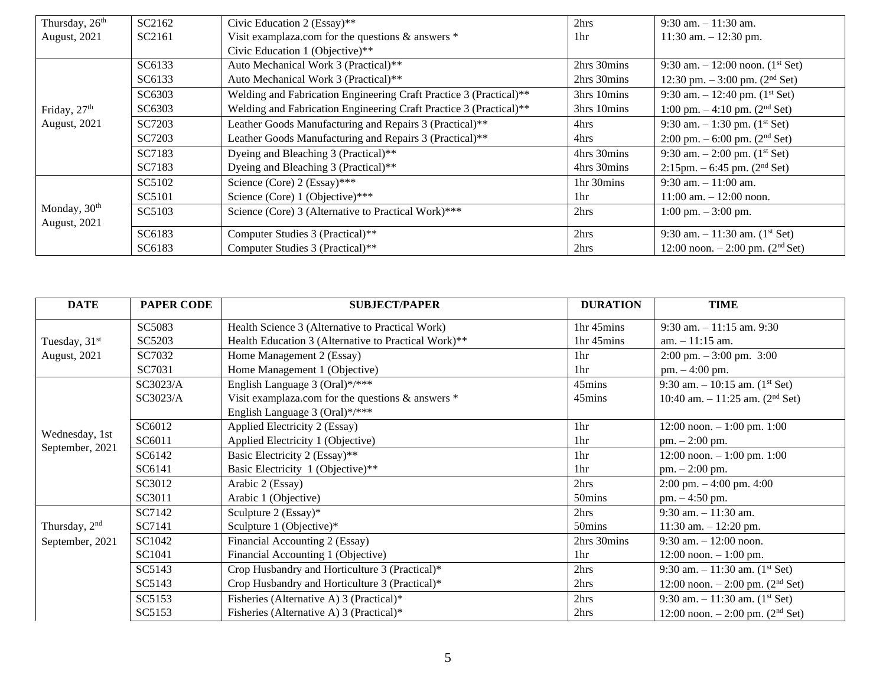| Thursday, 26 <sup>th</sup> | SC2162 | Civic Education 2 (Essay)**                                        | 2hrs            | $9:30$ am. $-11:30$ am.                       |
|----------------------------|--------|--------------------------------------------------------------------|-----------------|-----------------------------------------------|
| August, 2021               | SC2161 | Visit examplaza.com for the questions & answers *                  | 1 <sub>hr</sub> | 11:30 am. $- 12:30$ pm.                       |
|                            |        | Civic Education 1 (Objective)**                                    |                 |                                               |
|                            | SC6133 | Auto Mechanical Work 3 (Practical)**                               | 2hrs 30mins     | 9:30 am. $-12:00$ noon. (1 <sup>st</sup> Set) |
|                            | SC6133 | Auto Mechanical Work 3 (Practical)**                               | 2hrs 30mins     | 12:30 pm. $-3:00$ pm. $(2nd Set)$             |
|                            | SC6303 | Welding and Fabrication Engineering Craft Practice 3 (Practical)** | 3hrs 10mins     | 9:30 am. $-12:40$ pm. (1 <sup>st</sup> Set)   |
| Friday, $27th$             | SC6303 | Welding and Fabrication Engineering Craft Practice 3 (Practical)** | 3hrs 10mins     | 1:00 pm. $-4:10$ pm. (2 <sup>nd</sup> Set)    |
| August, 2021               | SC7203 | Leather Goods Manufacturing and Repairs 3 (Practical)**            | 4hrs            | 9:30 am. $-1:30$ pm. (1 <sup>st</sup> Set)    |
|                            | SC7203 | Leather Goods Manufacturing and Repairs 3 (Practical)**            | 4hrs            | 2:00 pm. $-6:00$ pm. (2 <sup>nd</sup> Set)    |
|                            | SC7183 | Dyeing and Bleaching 3 (Practical)**                               | 4hrs 30mins     | 9:30 am. $-2:00$ pm. (1 <sup>st</sup> Set)    |
|                            | SC7183 | Dyeing and Bleaching 3 (Practical)**                               | 4hrs 30mins     | 2:15pm. $-6:45$ pm. (2 <sup>nd</sup> Set)     |
|                            | SC5102 | Science (Core) 2 (Essay)***                                        | 1hr 30mins      | $9:30$ am. $-11:00$ am.                       |
|                            | SC5101 | Science (Core) 1 (Objective)***                                    | 1hr             | $11:00$ am. $-12:00$ noon.                    |
| Monday, 30 <sup>th</sup>   | SC5103 | Science (Core) 3 (Alternative to Practical Work)***                | 2hrs            | $1:00 \text{ pm} - 3:00 \text{ pm}.$          |
| <b>August</b> , 2021       |        |                                                                    |                 |                                               |
|                            | SC6183 | Computer Studies 3 (Practical)**                                   | 2hrs            | 9:30 am. $-11:30$ am. (1 <sup>st</sup> Set)   |
|                            | SC6183 | Computer Studies 3 (Practical)**                                   | 2hrs            | 12:00 noon. $-2:00$ pm. (2 <sup>nd</sup> Set) |

| <b>DATE</b>               | <b>PAPER CODE</b> | <b>SUBJECT/PAPER</b>                                 | <b>DURATION</b> | <b>TIME</b>                                     |
|---------------------------|-------------------|------------------------------------------------------|-----------------|-------------------------------------------------|
|                           | SC5083            | Health Science 3 (Alternative to Practical Work)     | 1hr 45mins      | $9:30$ am. $-11:15$ am. $9:30$                  |
| Tuesday, 31 <sup>st</sup> | SC5203            | Health Education 3 (Alternative to Practical Work)** | 1hr 45mins      | $am. - 11:15$ am.                               |
| <b>August</b> , 2021      | SC7032            | Home Management 2 (Essay)                            | 1hr             | $2:00 \text{ pm} - 3:00 \text{ pm}$ . 3:00      |
|                           | SC7031            | Home Management 1 (Objective)                        | 1 <sup>hr</sup> | $pm. - 4:00$ pm.                                |
|                           | SC3023/A          | English Language 3 (Oral)*/***                       | 45mins          | 9:30 am. $-10:15$ am. $(1st Set)$               |
|                           | SC3023/A          | Visit examplaza.com for the questions & answers *    | 45mins          | 10:40 am. $-11:25$ am. (2 <sup>nd</sup> Set)    |
|                           |                   | English Language 3 (Oral)*/***                       |                 |                                                 |
|                           | SC6012            | Applied Electricity 2 (Essay)                        | 1hr             | 12:00 noon. $-1:00$ pm. 1:00                    |
| Wednesday, 1st            | SC6011            | Applied Electricity 1 (Objective)                    | 1hr             | $pm. - 2:00$ pm.                                |
| September, 2021           | SC6142            | Basic Electricity 2 (Essay)**                        | 1hr             | $12:00$ noon. $-1:00$ pm. 1:00                  |
|                           | SC6141            | Basic Electricity 1 (Objective)**                    | 1 <sup>hr</sup> | $pm. - 2:00$ pm.                                |
|                           | SC3012            | Arabic 2 (Essay)                                     | 2hrs            | $2:00 \text{ pm}$ . $-4:00 \text{ pm}$ . $4:00$ |
|                           | SC3011            | Arabic 1 (Objective)                                 | 50mins          | $pm. -4:50$ pm.                                 |
|                           | SC7142            | Sculpture 2 (Essay)*                                 | 2hrs            | $9:30$ am. $-11:30$ am.                         |
| Thursday, 2 <sup>nd</sup> | SC7141            | Sculpture 1 (Objective)*                             | 50mins          | 11:30 am. $- 12:20$ pm.                         |
| September, 2021           | SC1042            | Financial Accounting 2 (Essay)                       | 2hrs 30mins     | $9:30$ am. $-12:00$ noon.                       |
|                           | SC1041            | Financial Accounting 1 (Objective)                   | 1hr             | $12:00$ noon. $-1:00$ pm.                       |
|                           | SC5143            | Crop Husbandry and Horticulture 3 (Practical)*       | 2hrs            | 9:30 am. $-11:30$ am. $(1st Set)$               |
|                           | SC5143            | Crop Husbandry and Horticulture 3 (Practical)*       | 2hrs            | 12:00 noon. $- 2:00$ pm. (2 <sup>nd</sup> Set)  |
|                           | SC5153            | Fisheries (Alternative A) 3 (Practical)*             | 2hrs            | 9:30 am. $-11:30$ am. $(1st Set)$               |
|                           | SC5153            | Fisheries (Alternative A) 3 (Practical)*             | 2hrs            | 12:00 noon. $- 2:00$ pm. (2 <sup>nd</sup> Set)  |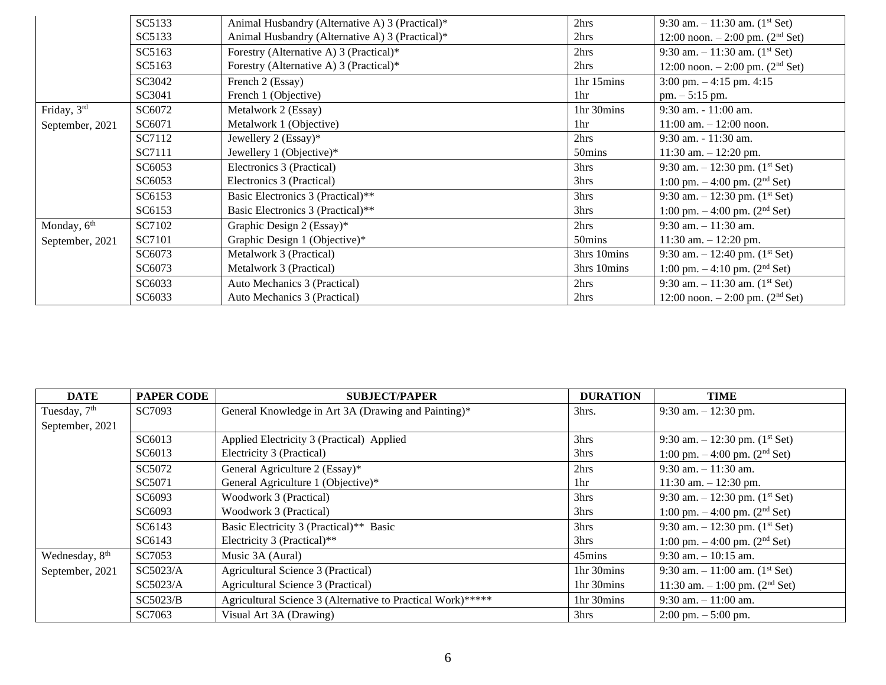|                         | SC5133 | Animal Husbandry (Alternative A) 3 (Practical)* | 2hrs        | 9:30 am. $-11:30$ am. (1 <sup>st</sup> Set)     |
|-------------------------|--------|-------------------------------------------------|-------------|-------------------------------------------------|
|                         | SC5133 | Animal Husbandry (Alternative A) 3 (Practical)* | 2hrs        | 12:00 noon. $-2:00$ pm. $(2nd Set)$             |
|                         | SC5163 | Forestry (Alternative A) 3 (Practical)*         | 2hrs        | 9:30 am. $-11:30$ am. $(1st Set)$               |
|                         | SC5163 | Forestry (Alternative A) 3 (Practical)*         | 2hrs        | 12:00 noon. $-2:00$ pm. $(2nd Set)$             |
|                         | SC3042 | French 2 (Essay)                                | 1hr 15mins  | $3:00 \text{ pm}$ . $-4:15 \text{ pm}$ . $4:15$ |
|                         | SC3041 | French 1 (Objective)                            | 1hr         | $pm. - 5:15$ pm.                                |
| Friday, 3rd             | SC6072 | Metalwork 2 (Essay)                             | 1hr 30mins  | $9:30$ am. $-11:00$ am.                         |
| September, 2021         | SC6071 | Metalwork 1 (Objective)                         | 1hr         | $11:00$ am. $-12:00$ noon.                      |
|                         | SC7112 | Jewellery 2 (Essay)*                            | 2hrs        | 9:30 am. - 11:30 am.                            |
|                         | SC7111 | Jewellery 1 (Objective)*                        | 50mins      | $11:30$ am. $-12:20$ pm.                        |
|                         | SC6053 | Electronics 3 (Practical)                       | 3hrs        | 9:30 am. $-12:30$ pm. (1 <sup>st</sup> Set)     |
|                         | SC6053 | Electronics 3 (Practical)                       | 3hrs        | 1:00 pm. $-$ 4:00 pm. (2 <sup>nd</sup> Set)     |
|                         | SC6153 | Basic Electronics 3 (Practical)**               | 3hrs        | 9:30 am. $-12:30$ pm. (1 <sup>st</sup> Set)     |
|                         | SC6153 | Basic Electronics 3 (Practical)**               | 3hrs        | 1:00 pm. $-$ 4:00 pm. (2 <sup>nd</sup> Set)     |
| Monday, 6 <sup>th</sup> | SC7102 | Graphic Design 2 (Essay)*                       | 2hrs        | $9:30$ am. $-11:30$ am.                         |
| September, 2021         | SC7101 | Graphic Design 1 (Objective)*                   | 50mins      | $11:30$ am. $-12:20$ pm.                        |
|                         | SC6073 | Metalwork 3 (Practical)                         | 3hrs 10mins | 9:30 am. $-12:40$ pm. (1 <sup>st</sup> Set)     |
|                         | SC6073 | Metalwork 3 (Practical)                         | 3hrs 10mins | 1:00 pm. $-4:10$ pm. $(2nd Set)$                |
|                         | SC6033 | Auto Mechanics 3 (Practical)                    | 2hrs        | 9:30 am. $-11:30$ am. $(1st Set)$               |
|                         | SC6033 | Auto Mechanics 3 (Practical)                    | 2hrs        | 12:00 noon. $-2:00$ pm. $(2nd Set)$             |

| <b>DATE</b>                | <b>PAPER CODE</b> | <b>SUBJECT/PAPER</b>                                        | <b>DURATION</b> | <b>TIME</b>                                 |
|----------------------------|-------------------|-------------------------------------------------------------|-----------------|---------------------------------------------|
| Tuesday, 7 <sup>th</sup>   | SC7093            | General Knowledge in Art 3A (Drawing and Painting)*         | 3hrs.           | 9:30 am. $-12:30$ pm.                       |
| September, 2021            |                   |                                                             |                 |                                             |
|                            | SC6013            | Applied Electricity 3 (Practical) Applied                   | 3hrs            | 9:30 am. $-12:30$ pm. (1 <sup>st</sup> Set) |
|                            | SC6013            | Electricity 3 (Practical)                                   | 3hrs            | 1:00 pm. $-$ 4:00 pm. (2 <sup>nd</sup> Set) |
|                            | SC5072            | General Agriculture 2 (Essay)*                              | 2hrs            | $9:30$ am. $-11:30$ am.                     |
|                            | SC5071            | General Agriculture 1 (Objective)*                          | 1 <sub>hr</sub> | 11:30 am. $- 12:30$ pm.                     |
|                            | SC6093            | Woodwork 3 (Practical)                                      | 3hrs            | 9:30 am. $-12:30$ pm. (1 <sup>st</sup> Set) |
|                            | SC6093            | Woodwork 3 (Practical)                                      | 3hrs            | 1:00 pm. $-$ 4:00 pm. (2 <sup>nd</sup> Set) |
|                            | SC6143            | Basic Electricity 3 (Practical)** Basic                     | 3hrs            | 9:30 am. $-12:30$ pm. (1 <sup>st</sup> Set) |
|                            | SC6143            | Electricity 3 (Practical)**                                 | 3hrs            | 1:00 pm. $-$ 4:00 pm. (2 <sup>nd</sup> Set) |
| Wednesday, 8 <sup>th</sup> | SC7053            | Music 3A (Aural)                                            | 45mins          | $9:30$ am. $-10:15$ am.                     |
| September, 2021            | SC5023/A          | Agricultural Science 3 (Practical)                          | 1hr 30mins      | 9:30 am. $-11:00$ am. $(1st Set)$           |
|                            | SC5023/A          | Agricultural Science 3 (Practical)                          | 1hr 30mins      | 11:30 am. $-1:00$ pm. (2 <sup>nd</sup> Set) |
|                            | SC5023/B          | Agricultural Science 3 (Alternative to Practical Work)***** | 1hr 30mins      | $9:30$ am. $-11:00$ am.                     |
|                            | SC7063            | Visual Art 3A (Drawing)                                     | 3hrs            | $2:00 \text{ pm} - 5:00 \text{ pm}.$        |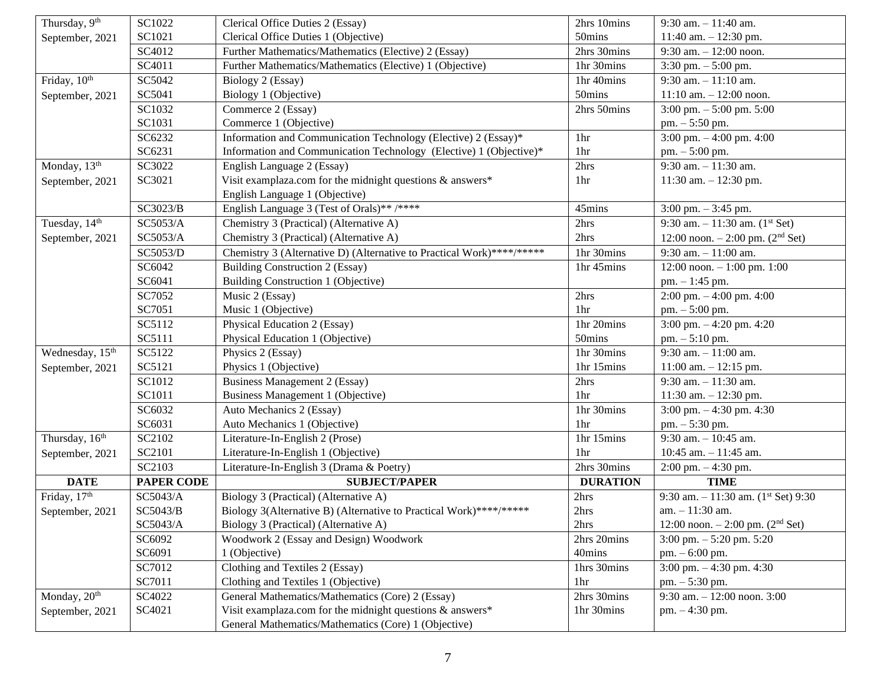| Thursday, 9th               | SC1022            | Clerical Office Duties 2 (Essay)                                      | 2hrs 10mins     | $9:30$ am. $-11:40$ am.                          |
|-----------------------------|-------------------|-----------------------------------------------------------------------|-----------------|--------------------------------------------------|
| September, 2021             | SC1021            | Clerical Office Duties 1 (Objective)                                  | 50mins          | 11:40 am. $- 12:30$ pm.                          |
|                             | SC4012            | Further Mathematics/Mathematics (Elective) 2 (Essay)                  | 2hrs 30mins     | 9:30 am. $-12:00$ noon.                          |
|                             | SC4011            | Further Mathematics/Mathematics (Elective) 1 (Objective)              | 1hr 30mins      | 3:30 pm. $-5:00$ pm.                             |
| Friday, 10th                | SC5042            | Biology 2 (Essay)                                                     | 1hr 40mins      | $9:30$ am. $-11:10$ am.                          |
| September, 2021             | SC5041            | Biology 1 (Objective)                                                 | 50mins          | $11:10$ am. $-12:00$ noon.                       |
|                             | SC1032            | Commerce 2 (Essay)                                                    | 2hrs 50mins     | $3:00 \text{ pm}$ . $-5:00 \text{ pm}$ . $5:00$  |
|                             | SC1031            | Commerce 1 (Objective)                                                |                 | pm. - 5:50 pm.                                   |
|                             | SC6232            | Information and Communication Technology (Elective) 2 (Essay)*        | 1hr             | 3:00 pm. $-4:00$ pm. 4:00                        |
|                             | SC6231            | Information and Communication Technology (Elective) 1 (Objective)*    | 1 <sub>hr</sub> | pm. - 5:00 pm.                                   |
| Monday, 13 <sup>th</sup>    | SC3022            | English Language 2 (Essay)                                            | 2hrs            | $9:30$ am. $-11:30$ am.                          |
| September, 2021             | SC3021            | Visit examplaza.com for the midnight questions $\&$ answers*          | 1 <sub>hr</sub> | 11:30 am. $- 12:30$ pm.                          |
|                             |                   | English Language 1 (Objective)                                        |                 |                                                  |
|                             | SC3023/B          | English Language 3 (Test of Orals)** /****                            | 45mins          | $3:00$ pm. $-3:45$ pm.                           |
| Tuesday, 14 <sup>th</sup>   | SC5053/A          | Chemistry 3 (Practical) (Alternative A)                               | 2hrs            | 9:30 am. $-11:30$ am. $(1st Set)$                |
| September, 2021             | SC5053/A          | Chemistry 3 (Practical) (Alternative A)                               | 2hrs            | 12:00 noon. $-2:00$ pm. (2 <sup>nd</sup> Set)    |
|                             | SC5053/D          | Chemistry 3 (Alternative D) (Alternative to Practical Work)****/***** | 1hr 30mins      | $9:30$ am. $-11:00$ am.                          |
|                             | SC6042            | <b>Building Construction 2 (Essay)</b>                                | 1hr 45mins      | 12:00 noon. $-1:00$ pm. 1:00                     |
|                             | SC6041            | Building Construction 1 (Objective)                                   |                 | $pm. - 1:45$ pm.                                 |
|                             | SC7052            | Music 2 (Essay)                                                       | 2hrs            | 2:00 pm. $-4:00$ pm. 4:00                        |
|                             | SC7051            | Music 1 (Objective)                                                   | 1hr             | $pm. - 5:00$ pm.                                 |
|                             | SC5112            | Physical Education 2 (Essay)                                          | 1hr 20mins      | 3:00 pm. $-4:20$ pm. 4:20                        |
|                             | SC5111            | Physical Education 1 (Objective)                                      | 50mins          | pm. - 5:10 pm.                                   |
| Wednesday, 15 <sup>th</sup> | SC5122            | Physics 2 (Essay)                                                     | 1hr 30mins      | $9:30$ am. $-11:00$ am.                          |
| September, 2021             | SC5121            | Physics 1 (Objective)                                                 | 1hr 15mins      | 11:00 am. $- 12:15$ pm.                          |
|                             | SC1012            | <b>Business Management 2 (Essay)</b>                                  | 2hrs            | $9:30$ am. $-11:30$ am.                          |
|                             | SC1011            | Business Management 1 (Objective)                                     | 1 <sup>hr</sup> | 11:30 am. $- 12:30$ pm.                          |
|                             | SC6032            | Auto Mechanics 2 (Essay)                                              | 1hr 30mins      | 3:00 pm. $-4:30$ pm. 4:30                        |
|                             | SC6031            | Auto Mechanics 1 (Objective)                                          | 1hr             | pm. - 5:30 pm.                                   |
| Thursday, 16 <sup>th</sup>  | SC2102            | Literature-In-English 2 (Prose)                                       | 1hr 15mins      | $9:30$ am. $-10:45$ am.                          |
| September, 2021             | SC2101            | Literature-In-English 1 (Objective)                                   | 1hr             | 10:45 am. $-11:45$ am.                           |
|                             | SC2103            | Literature-In-English 3 (Drama & Poetry)                              | 2hrs 30mins     | $2:00$ pm. $-4:30$ pm.                           |
| <b>DATE</b>                 | <b>PAPER CODE</b> | <b>SUBJECT/PAPER</b>                                                  | <b>DURATION</b> | <b>TIME</b>                                      |
| Friday, 17th                | SC5043/A          | Biology 3 (Practical) (Alternative A)                                 | 2hrs            | 9:30 am. $-11:30$ am. (1 <sup>st</sup> Set) 9:30 |
| September, 2021             | SC5043/B          | Biology 3(Alternative B) (Alternative to Practical Work)****/*****    | 2hrs            | $am. - 11:30$ am.                                |
|                             | SC5043/A          | Biology 3 (Practical) (Alternative A)                                 | 2hrs            | 12:00 noon. $- 2:00$ pm. (2 <sup>nd</sup> Set)   |
|                             | SC6092            | Woodwork 2 (Essay and Design) Woodwork                                | 2hrs 20mins     | 3:00 pm. $-5:20$ pm. $5:20$                      |
|                             | SC6091            | 1 (Objective)                                                         | 40mins          | pm. - 6:00 pm.                                   |
|                             | SC7012            | Clothing and Textiles 2 (Essay)                                       | 1hrs 30mins     | 3:00 pm. $-4:30$ pm. 4:30                        |
|                             | SC7011            | Clothing and Textiles 1 (Objective)                                   | 1hr             | $pm. - 5:30$ pm.                                 |
| Monday, 20 <sup>th</sup>    | SC4022            | General Mathematics/Mathematics (Core) 2 (Essay)                      | 2hrs 30mins     | 9:30 am. $-12:00$ noon. 3:00                     |
| September, 2021             | SC4021            | Visit examplaza.com for the midnight questions & answers*             | 1hr 30mins      | $pm. -4:30 \text{ pm}.$                          |
|                             |                   | General Mathematics/Mathematics (Core) 1 (Objective)                  |                 |                                                  |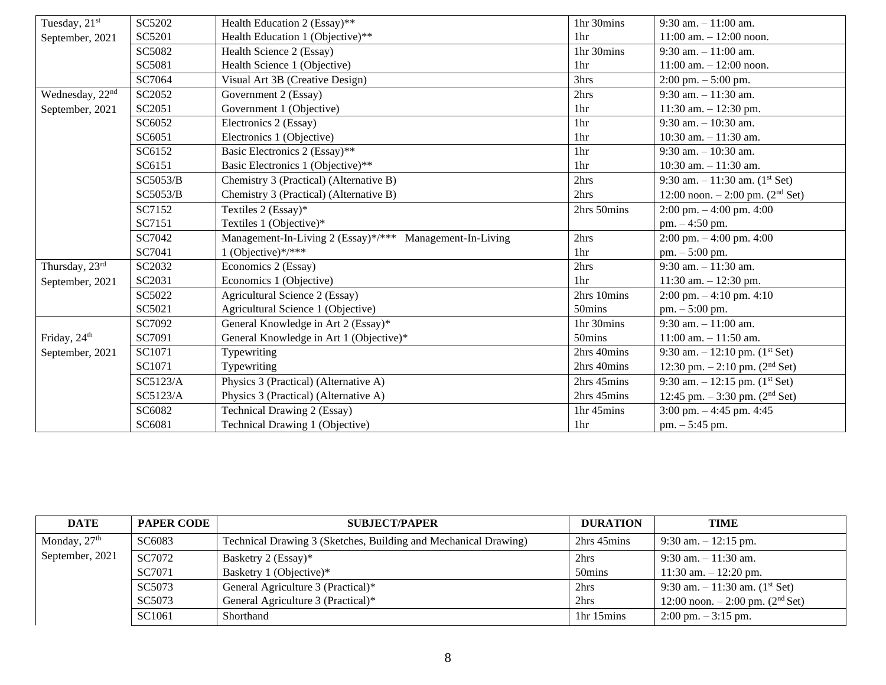| Tuesday, 21 <sup>st</sup>   | SC5202   | Health Education 2 (Essay)**                             | 1hr 30mins      | $9:30$ am. $-11:00$ am.                         |
|-----------------------------|----------|----------------------------------------------------------|-----------------|-------------------------------------------------|
| September, 2021             | SC5201   | Health Education 1 (Objective)**                         | 1 <sub>hr</sub> | $11:00$ am. $-12:00$ noon.                      |
|                             | SC5082   | Health Science 2 (Essay)                                 | 1hr 30mins      | $9:30$ am. $-11:00$ am.                         |
|                             | SC5081   | Health Science 1 (Objective)                             | 1hr             | $11:00$ am. $-12:00$ noon.                      |
|                             | SC7064   | Visual Art 3B (Creative Design)                          | 3hrs            | $2:00 \text{ pm.} - 5:00 \text{ pm.}$           |
| Wednesday, 22 <sup>nd</sup> | SC2052   | Government 2 (Essay)                                     | 2hrs            | $9:30$ am. $-11:30$ am.                         |
| September, 2021             | SC2051   | Government 1 (Objective)                                 | 1 <sub>hr</sub> | 11:30 am. $- 12:30$ pm.                         |
|                             | SC6052   | Electronics 2 (Essay)                                    | 1hr             | $9:30$ am. $-10:30$ am.                         |
|                             | SC6051   | Electronics 1 (Objective)                                | 1hr             | 10:30 am. $-11:30$ am.                          |
|                             | SC6152   | Basic Electronics 2 (Essay)**                            | 1hr             | $9:30$ am. $-10:30$ am.                         |
|                             | SC6151   | Basic Electronics 1 (Objective)**                        | 1 <sub>hr</sub> | 10:30 am. $-11:30$ am.                          |
|                             | SC5053/B | Chemistry 3 (Practical) (Alternative B)                  | 2hrs            | 9:30 am. $-11:30$ am. $(1st Set)$               |
|                             | SC5053/B | Chemistry 3 (Practical) (Alternative B)                  | 2hrs            | 12:00 noon. $- 2:00$ pm. (2 <sup>nd</sup> Set)  |
|                             | SC7152   | Textiles 2 (Essay)*                                      | 2hrs 50mins     | $2:00 \text{ pm}$ . $-4:00 \text{ pm}$ . $4:00$ |
|                             | SC7151   | Textiles 1 (Objective)*                                  |                 | $pm. -4:50$ pm.                                 |
|                             | SC7042   | Management-In-Living 2 (Essay)*/*** Management-In-Living | 2hrs            | 2:00 pm. $-4:00$ pm. $4:00$                     |
|                             | SC7041   | 1 (Objective)*/***                                       | 1hr             | pm. $-5:00$ pm.                                 |
| Thursday, 23rd              | SC2032   | Economics 2 (Essay)                                      | 2hrs            | $9:30$ am. $-11:30$ am.                         |
| September, 2021             | SC2031   | Economics 1 (Objective)                                  | 1hr             | 11:30 am. $- 12:30$ pm.                         |
|                             | SC5022   | Agricultural Science 2 (Essay)                           | 2hrs 10mins     | $2:00 \text{ pm}$ . $-4:10 \text{ pm}$ . $4:10$ |
|                             | SC5021   | Agricultural Science 1 (Objective)                       | 50mins          | $pm. - 5:00$ pm.                                |
|                             | SC7092   | General Knowledge in Art 2 (Essay)*                      | 1hr 30mins      | 9:30 am. $-11:00$ am.                           |
| Friday, 24 <sup>th</sup>    | SC7091   | General Knowledge in Art 1 (Objective)*                  | 50mins          | $11:00$ am. $-11:50$ am.                        |
| September, 2021             | SC1071   | Typewriting                                              | 2hrs 40mins     | 9:30 am. $-12:10$ pm. $(1st Set)$               |
|                             | SC1071   | Typewriting                                              | 2hrs 40mins     | 12:30 pm. $- 2:10$ pm. (2 <sup>nd</sup> Set)    |
|                             | SC5123/A | Physics 3 (Practical) (Alternative A)                    | 2hrs 45mins     | 9:30 am. $-12:15$ pm. $(1st Set)$               |
|                             | SC5123/A | Physics 3 (Practical) (Alternative A)                    | 2hrs 45mins     | 12:45 pm. $-3:30$ pm. (2 <sup>nd</sup> Set)     |
|                             | SC6082   | Technical Drawing 2 (Essay)                              | 1hr 45mins      | 3:00 pm. $-4:45$ pm. 4:45                       |
|                             | SC6081   | Technical Drawing 1 (Objective)                          | 1hr             | pm. $-5:45$ pm.                                 |

| <b>DATE</b>     | <b>PAPER CODE</b> | <b>SUBJECT/PAPER</b>                                            | <b>DURATION</b>                    | <b>TIME</b>                                   |
|-----------------|-------------------|-----------------------------------------------------------------|------------------------------------|-----------------------------------------------|
| Monday, $27th$  | SC6083            | Technical Drawing 3 (Sketches, Building and Mechanical Drawing) | 2hrs 45mins                        | $9:30$ am. $-12:15$ pm.                       |
| September, 2021 | SC7072            | Basketry 2 (Essay)*                                             | 2hrs                               | $9:30$ am. $-11:30$ am.                       |
|                 | SC7071            | Basketry 1 (Objective)*                                         | 50mins                             | 11:30 am. $-12:20$ pm.                        |
|                 | SC5073            | General Agriculture 3 (Practical)*                              | 2hrs                               | 9:30 am. $-11:30$ am. (1 <sup>st</sup> Set)   |
|                 | SC5073            | General Agriculture 3 (Practical)*                              | 2hrs                               | 12:00 noon. $-2:00$ pm. (2 <sup>nd</sup> Set) |
|                 | SC1061            | Shorthand                                                       | 1 <sup>hr</sup> 15 <sup>mins</sup> | $2:00 \text{ pm} - 3:15 \text{ pm}.$          |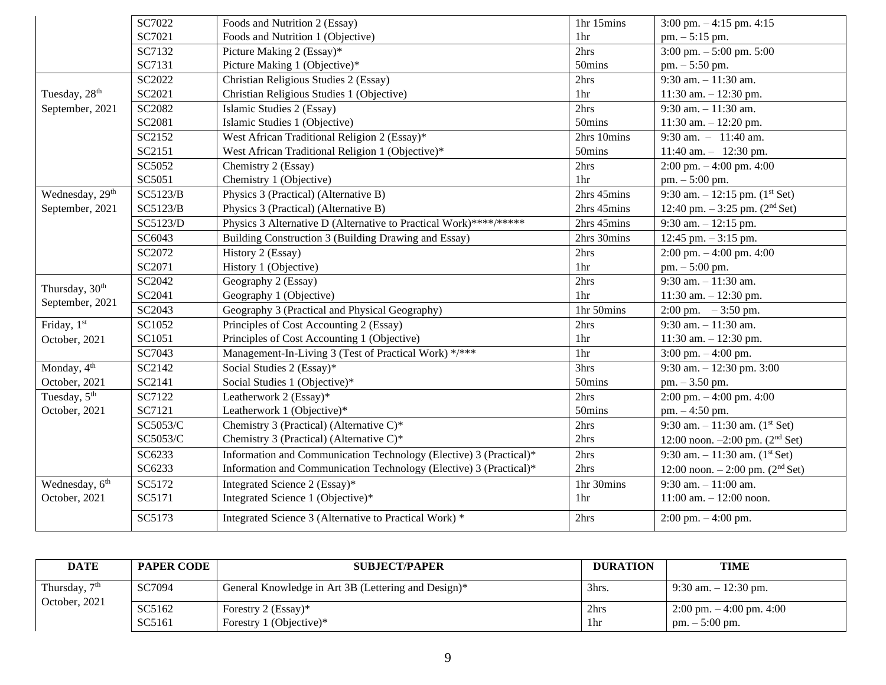|                             | SC7022   | Foods and Nutrition 2 (Essay)                                      | 1hr 15mins      | 3:00 pm. $-4:15$ pm. 4:15                       |
|-----------------------------|----------|--------------------------------------------------------------------|-----------------|-------------------------------------------------|
|                             | SC7021   | Foods and Nutrition 1 (Objective)                                  | 1 <sup>hr</sup> | $pm. - 5:15$ pm.                                |
|                             | SC7132   | Picture Making 2 (Essay)*                                          | 2hrs            | $3:00$ pm. $-5:00$ pm. $5:00$                   |
|                             | SC7131   | Picture Making 1 (Objective)*                                      | 50mins          | pm. - 5:50 pm.                                  |
|                             | SC2022   | Christian Religious Studies 2 (Essay)                              | 2hrs            | $9:30$ am. $-11:30$ am.                         |
| Tuesday, 28 <sup>th</sup>   | SC2021   | Christian Religious Studies 1 (Objective)                          | 1 <sup>hr</sup> | 11:30 am. $- 12:30$ pm.                         |
| September, 2021             | SC2082   | Islamic Studies 2 (Essay)                                          | 2hrs            | $9:30$ am. $-11:30$ am.                         |
|                             | SC2081   | Islamic Studies 1 (Objective)                                      | 50mins          | 11:30 am. $- 12:20$ pm.                         |
|                             | SC2152   | West African Traditional Religion 2 (Essay)*                       | 2hrs 10mins     | 9:30 am. $-11:40$ am.                           |
|                             | SC2151   | West African Traditional Religion 1 (Objective)*                   | 50mins          | 11:40 am. $-$ 12:30 pm.                         |
|                             | SC5052   | Chemistry 2 (Essay)                                                | 2hrs            | $2:00 \text{ pm}$ . $-4:00 \text{ pm}$ . $4:00$ |
|                             | SC5051   | Chemistry 1 (Objective)                                            | 1 <sup>hr</sup> | pm. $-5:00$ pm.                                 |
| Wednesday, 29 <sup>th</sup> | SC5123/B | Physics 3 (Practical) (Alternative B)                              | 2hrs 45mins     | 9:30 am. $-12:15$ pm. (1 <sup>st</sup> Set)     |
| September, 2021             | SC5123/B | Physics 3 (Practical) (Alternative B)                              | 2hrs 45mins     | 12:40 pm. $-3:25$ pm. (2 <sup>nd</sup> Set)     |
|                             | SC5123/D | Physics 3 Alternative D (Alternative to Practical Work)****/*****  | 2hrs 45mins     | 9:30 am. $-12:15$ pm.                           |
|                             | SC6043   | Building Construction 3 (Building Drawing and Essay)               | 2hrs 30mins     | 12:45 pm. $-3:15$ pm.                           |
|                             | SC2072   | History 2 (Essay)                                                  | 2hrs            | $2:00 \text{ pm}$ . $-4:00 \text{ pm}$ . $4:00$ |
|                             | SC2071   | History 1 (Objective)                                              | 1hr             | pm. - 5:00 pm.                                  |
| Thursday, 30 <sup>th</sup>  | SC2042   | Geography 2 (Essay)                                                | 2hrs            | 9:30 am. $-11:30$ am.                           |
|                             | SC2041   | Geography 1 (Objective)                                            | 1hr             | 11:30 am. $- 12:30$ pm.                         |
| September, 2021             | SC2043   | Geography 3 (Practical and Physical Geography)                     | 1hr 50mins      | $2:00 \text{ pm.}$ - 3:50 pm.                   |
| Friday, 1st                 | SC1052   | Principles of Cost Accounting 2 (Essay)                            | 2hrs            | $9:30$ am. $-11:30$ am.                         |
| October, 2021               | SC1051   | Principles of Cost Accounting 1 (Objective)                        | 1 <sub>hr</sub> | 11:30 am. $- 12:30$ pm.                         |
|                             | SC7043   | Management-In-Living 3 (Test of Practical Work) */***              | 1hr             | 3:00 pm. $-4:00$ pm.                            |
| Monday, 4 <sup>th</sup>     | SC2142   | Social Studies 2 (Essay)*                                          | 3hrs            | 9:30 am. $-12:30$ pm. 3:00                      |
| October, 2021               | SC2141   | Social Studies 1 (Objective)*                                      | 50mins          | pm. - 3.50 pm.                                  |
| Tuesday, 5 <sup>th</sup>    | SC7122   | Leatherwork 2 (Essay)*                                             | 2hrs            | 2:00 pm. $-4:00$ pm. 4:00                       |
| October, 2021               | SC7121   | Leatherwork 1 (Objective)*                                         | 50mins          | pm. - 4:50 pm.                                  |
|                             | SC5053/C | Chemistry 3 (Practical) (Alternative C)*                           | 2hrs            | 9:30 am. $-11:30$ am. $(1st Set)$               |
|                             | SC5053/C | Chemistry 3 (Practical) (Alternative C)*                           | 2hrs            | 12:00 noon. $-2:00$ pm. (2 <sup>nd</sup> Set)   |
|                             | SC6233   | Information and Communication Technology (Elective) 3 (Practical)* | 2hrs            | 9:30 am. $-11:30$ am. $(1st Set)$               |
|                             | SC6233   | Information and Communication Technology (Elective) 3 (Practical)* | 2hrs            | 12:00 noon. $-2:00$ pm. $(2nd Set)$             |
| Wednesday, 6 <sup>th</sup>  | SC5172   | Integrated Science 2 (Essay)*                                      | 1hr 30mins      | $9:30$ am. $-11:00$ am.                         |
| October, 2021               | SC5171   | Integrated Science 1 (Objective)*                                  | 1 <sub>hr</sub> | $11:00$ am. $-12:00$ noon.                      |
|                             | SC5173   | Integrated Science 3 (Alternative to Practical Work) *             | 2hrs            | $2:00 \text{ pm}$ . $-4:00 \text{ pm}$ .        |

| <b>DATE</b>                                | <b>PAPER CODE</b> | <b>SUBJECT/PAPER</b>                                | <b>DURATION</b> | <b>TIME</b>                                                            |
|--------------------------------------------|-------------------|-----------------------------------------------------|-----------------|------------------------------------------------------------------------|
| Thursday, 7 <sup>th</sup><br>October, 2021 | SC7094            | General Knowledge in Art 3B (Lettering and Design)* | 3hrs.           | 9:30 am. $-12:30$ pm.                                                  |
|                                            | SC5162<br>SC5161  | Forestry 2 (Essay)*<br>Forestry 1 (Objective)*      | 2hrs<br>1hr     | $2:00 \text{ pm} - 4:00 \text{ pm}$ . 4:00<br>$pm. - 5:00 \text{ pm}.$ |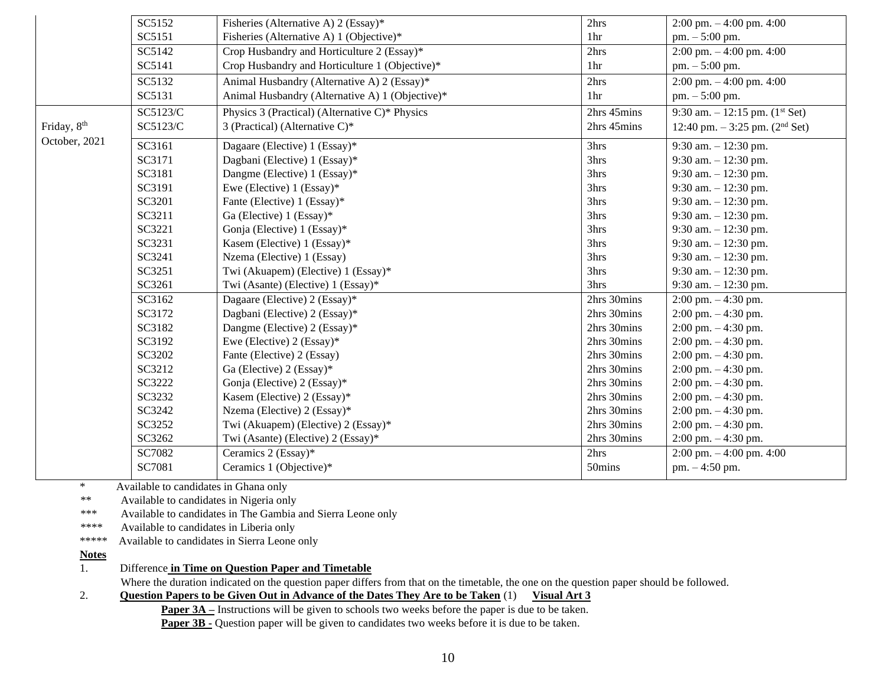|               | SC5152   | Fisheries (Alternative A) 2 (Essay)*            | 2hrs            | $2:00 \text{ pm} - 4:00 \text{ pm}$ . 4:00      |
|---------------|----------|-------------------------------------------------|-----------------|-------------------------------------------------|
|               | SC5151   | Fisheries (Alternative A) 1 (Objective)*        | 1hr             | $pm. - 5:00$ pm.                                |
|               | SC5142   | Crop Husbandry and Horticulture 2 (Essay)*      | 2hrs            | $2:00 \text{ pm}$ . $-4:00 \text{ pm}$ . $4:00$ |
|               | SC5141   | Crop Husbandry and Horticulture 1 (Objective)*  | 1 <sub>hr</sub> | $pm. - 5:00$ pm.                                |
|               | SC5132   | Animal Husbandry (Alternative A) 2 (Essay)*     | 2hrs            | $2:00 \text{ pm}$ . $-4:00 \text{ pm}$ . $4:00$ |
|               | SC5131   | Animal Husbandry (Alternative A) 1 (Objective)* | 1hr             | pm. $-5:00$ pm.                                 |
|               | SC5123/C | Physics 3 (Practical) (Alternative C)* Physics  | 2hrs 45mins     | 9:30 am. $-12:15$ pm. (1 <sup>st</sup> Set)     |
| Friday, 8th   | SC5123/C | 3 (Practical) (Alternative C)*                  | 2hrs 45mins     | 12:40 pm. $-3:25$ pm. (2 <sup>nd</sup> Set)     |
| October, 2021 | SC3161   | Dagaare (Elective) 1 (Essay)*                   | 3hrs            | 9:30 am. $-12:30$ pm.                           |
|               | SC3171   | Dagbani (Elective) 1 (Essay)*                   | 3hrs            | 9:30 am. $-12:30$ pm.                           |
|               | SC3181   | Dangme (Elective) 1 (Essay)*                    | 3hrs            | 9:30 am. $- 12:30$ pm.                          |
|               | SC3191   | Ewe (Elective) 1 (Essay)*                       | 3hrs            | 9:30 am. $- 12:30$ pm.                          |
|               | SC3201   | Fante (Elective) 1 (Essay)*                     | 3hrs            | 9:30 am. $-12:30$ pm.                           |
|               | SC3211   | Ga (Elective) 1 (Essay)*                        | 3hrs            | 9:30 am. $- 12:30$ pm.                          |
|               | SC3221   | Gonja (Elective) 1 (Essay)*                     | 3hrs            | 9:30 am. $-12:30$ pm.                           |
|               | SC3231   | Kasem (Elective) 1 (Essay)*                     | 3hrs            | 9:30 am. $-12:30$ pm.                           |
|               | SC3241   | Nzema (Elective) 1 (Essay)                      | 3hrs            | 9:30 am. $-12:30$ pm.                           |
|               | SC3251   | Twi (Akuapem) (Elective) 1 (Essay)*             | 3hrs            | 9:30 am. $-12:30$ pm.                           |
|               | SC3261   | Twi (Asante) (Elective) 1 (Essay)*              | 3hrs            | 9:30 am. $-12:30$ pm.                           |
|               | SC3162   | Dagaare (Elective) 2 (Essay)*                   | 2hrs 30mins     | $2:00 \text{ pm}$ . $-4:30 \text{ pm}$ .        |
|               | SC3172   | Dagbani (Elective) 2 (Essay)*                   | 2hrs 30mins     | $2:00$ pm. $-4:30$ pm.                          |
|               | SC3182   | Dangme (Elective) 2 (Essay)*                    | 2hrs 30mins     | $2:00$ pm. $-4:30$ pm.                          |
|               | SC3192   | Ewe (Elective) 2 (Essay)*                       | 2hrs 30mins     | $2:00 \text{ pm}$ . $-4:30 \text{ pm}$ .        |
|               | SC3202   | Fante (Elective) 2 (Essay)                      | 2hrs 30mins     | $2:00$ pm. $-4:30$ pm.                          |
|               | SC3212   | Ga (Elective) 2 (Essay)*                        | 2hrs 30mins     | $2:00 \text{ pm}$ . $-4:30 \text{ pm}$ .        |
|               | SC3222   | Gonja (Elective) 2 (Essay)*                     | 2hrs 30mins     | $2:00$ pm. $-4:30$ pm.                          |
|               | SC3232   | Kasem (Elective) 2 (Essay)*                     | 2hrs 30mins     | $2:00$ pm. $-4:30$ pm.                          |
|               | SC3242   | Nzema (Elective) 2 (Essay)*                     | 2hrs 30mins     | $2:00$ pm. $-4:30$ pm.                          |
|               | SC3252   | Twi (Akuapem) (Elective) 2 (Essay)*             | 2hrs 30mins     | $2:00 \text{ pm}$ . $-4:30 \text{ pm}$ .        |
|               | SC3262   | Twi (Asante) (Elective) 2 (Essay)*              | 2hrs 30mins     | $2:00$ pm. $-4:30$ pm.                          |
|               | SC7082   | Ceramics 2 (Essay)*                             | 2hrs            | $2:00 \text{ pm}$ . $-4:00 \text{ pm}$ . $4:00$ |
|               | SC7081   | Ceramics 1 (Objective)*                         | 50mins          | pm. - 4:50 pm.                                  |

\* Available to candidates in Ghana only

\*\* Available to candidates in Nigeria only

\*\*\* Available to candidates in The Gambia and Sierra Leone only

\*\*\*\* Available to candidates in Liberia only

\*\*\*\*\* Available to candidates in Sierra Leone only

**Notes**

1. Difference **in Time on Question Paper and Timetable**

Where the duration indicated on the question paper differs from that on the timetable, the one on the question paper should be followed.

2. **Question Papers to be Given Out in Advance of the Dates They Are to be Taken** (1) **Visual Art 3** 

**Paper 3A** – Instructions will be given to schools two weeks before the paper is due to be taken.

**Paper 3B -** Question paper will be given to candidates two weeks before it is due to be taken.